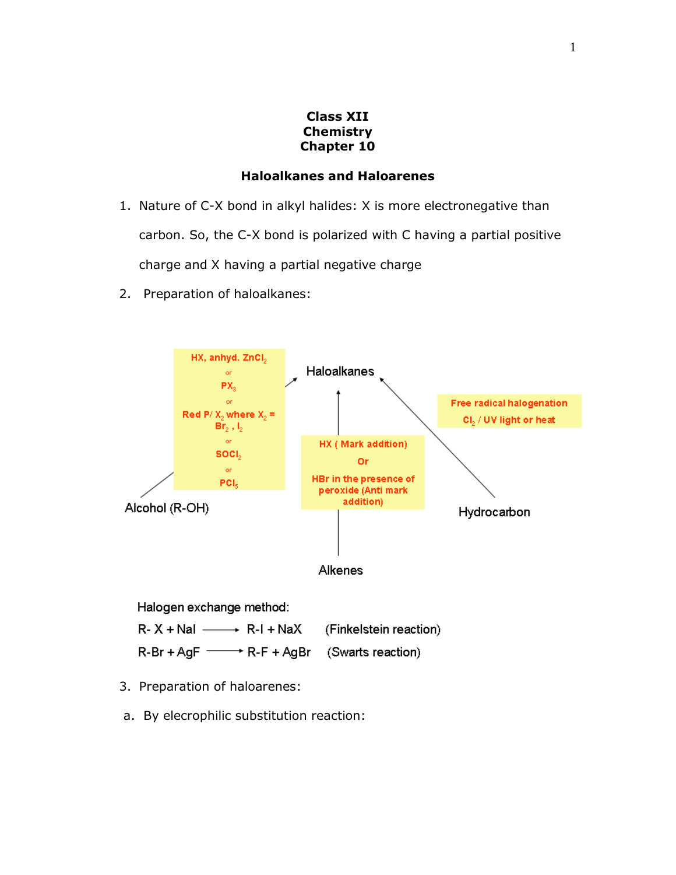## **Class XII Chemistry Chapter 10**

## **Haloalkanes and Haloarenes**

- 1. Nature of C-X bond in alkyl halides: X is more electronegative than carbon. So, the C-X bond is polarized with C having a partial positive charge and X having a partial negative charge
- 2. Preparation of haloalkanes:



Halogen exchange method:  $R-X + NaI \longrightarrow R-I + NaX$ (Finkelstein reaction)  $R-Br+AgF \longrightarrow R-F+AgBr$ (Swarts reaction)

- 3. Preparation of haloarenes:
- a. By elecrophilic substitution reaction: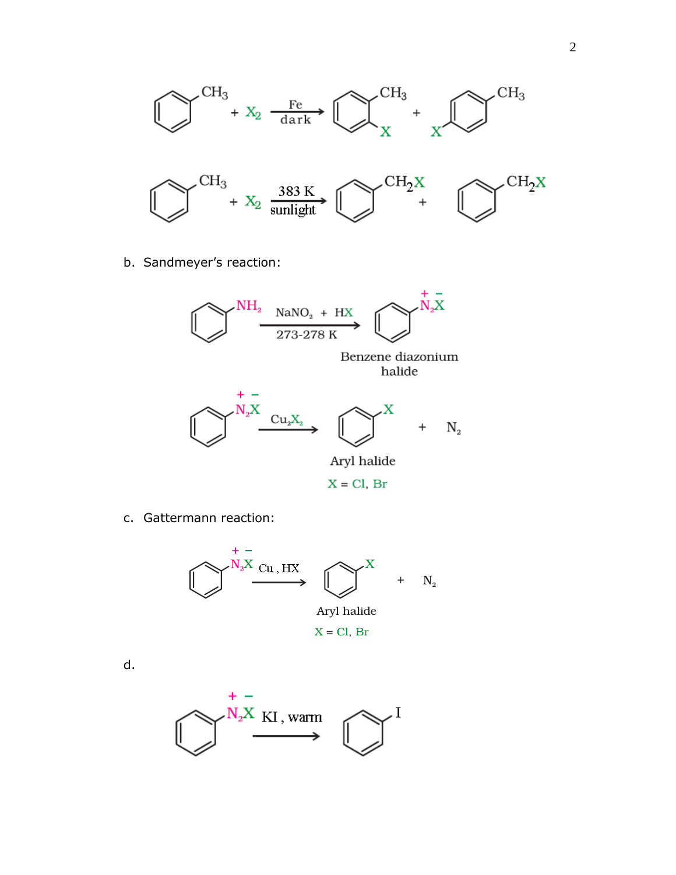

b. Sandmeyer's reaction:



c. Gattermann reaction:



d.

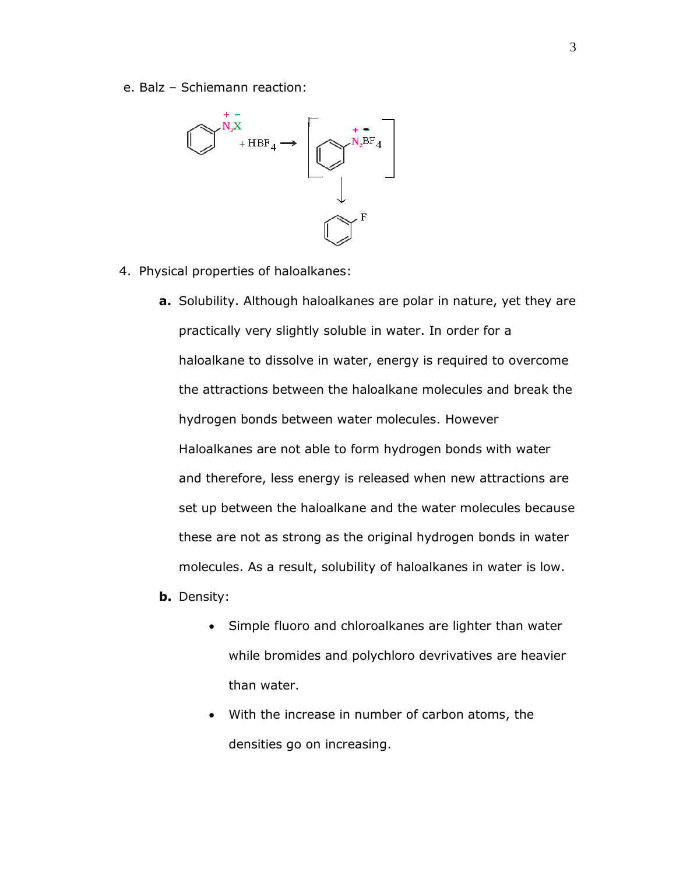e. Balz – Schiemann reaction:



- 4. Physical properties of haloalkanes:
	- **a.** Solubility. Although haloalkanes are polar in nature, yet they are practically very slightly soluble in water. In order for a haloalkane to dissolve in water, energy is required to overcome the attractions between the haloalkane molecules and break the hydrogen bonds between water molecules. However Haloalkanes are not able to form hydrogen bonds with water and therefore, less energy is released when new attractions are set up between the haloalkane and the water molecules because these are not as strong as the original hydrogen bonds in water molecules. As a result, solubility of haloalkanes in water is low.
	- **b.** Density:
		- Simple fluoro and chloroalkanes are lighter than water while bromides and polychloro devrivatives are heavier than water.
		- With the increase in number of carbon atoms, the densities go on increasing.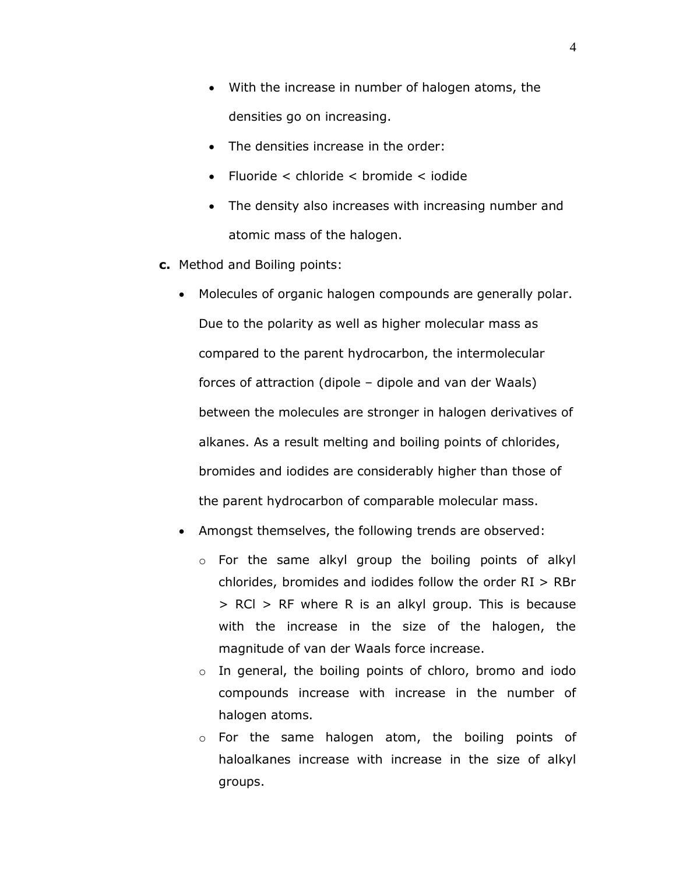- With the increase in number of halogen atoms, the densities go on increasing.
- The densities increase in the order:
- Fluoride < chloride < bromide < iodide
- The density also increases with increasing number and atomic mass of the halogen.
- **c.** Method and Boiling points:
	- Molecules of organic halogen compounds are generally polar. Due to the polarity as well as higher molecular mass as compared to the parent hydrocarbon, the intermolecular forces of attraction (dipole – dipole and van der Waals) between the molecules are stronger in halogen derivatives of alkanes. As a result melting and boiling points of chlorides, bromides and iodides are considerably higher than those of the parent hydrocarbon of comparable molecular mass.
	- Amongst themselves, the following trends are observed:
		- o For the same alkyl group the boiling points of alkyl chlorides, bromides and iodides follow the order RI > RBr > RCl > RF where R is an alkyl group. This is because with the increase in the size of the halogen, the magnitude of van der Waals force increase.
		- o In general, the boiling points of chloro, bromo and iodo compounds increase with increase in the number of halogen atoms.
		- o For the same halogen atom, the boiling points of haloalkanes increase with increase in the size of alkyl groups.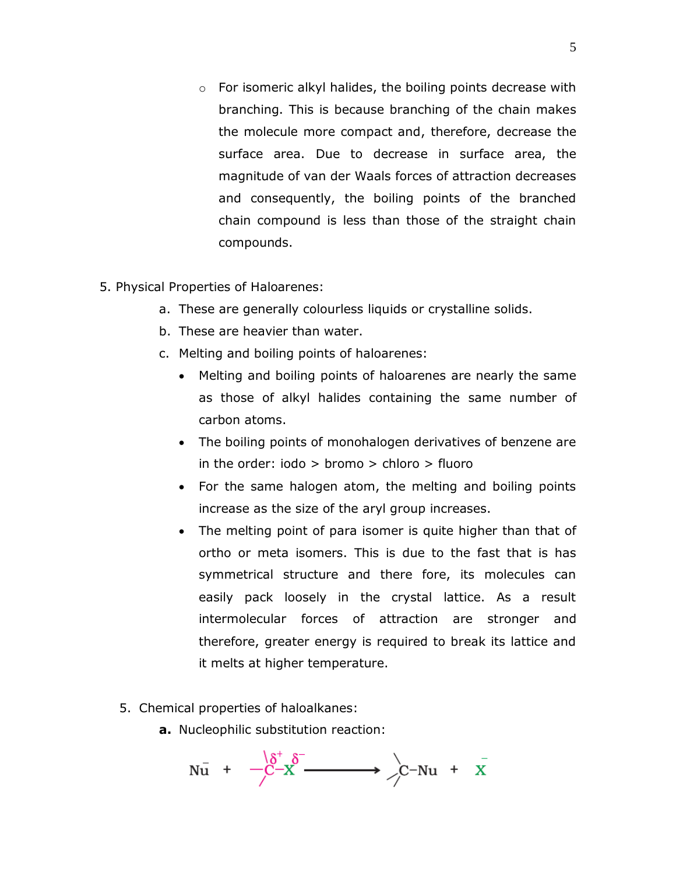- $\circ$  For isomeric alkyl halides, the boiling points decrease with branching. This is because branching of the chain makes the molecule more compact and, therefore, decrease the surface area. Due to decrease in surface area, the magnitude of van der Waals forces of attraction decreases and consequently, the boiling points of the branched chain compound is less than those of the straight chain compounds.
- 5. Physical Properties of Haloarenes:
	- a. These are generally colourless liquids or crystalline solids.
	- b. These are heavier than water.
	- c. Melting and boiling points of haloarenes:
		- Melting and boiling points of haloarenes are nearly the same as those of alkyl halides containing the same number of carbon atoms.
		- The boiling points of monohalogen derivatives of benzene are in the order:  $iodo > hromo > chloro > fluoro$
		- For the same halogen atom, the melting and boiling points increase as the size of the aryl group increases.
		- The melting point of para isomer is quite higher than that of ortho or meta isomers. This is due to the fast that is has symmetrical structure and there fore, its molecules can easily pack loosely in the crystal lattice. As a result intermolecular forces of attraction are stronger and therefore, greater energy is required to break its lattice and it melts at higher temperature.
	- 5. Chemical properties of haloalkanes:
		- **a.** Nucleophilic substitution reaction:

$$
N\bar{u} + -C^{-1}\delta^{+} \delta^{-} \longrightarrow C^{-}Nu + X
$$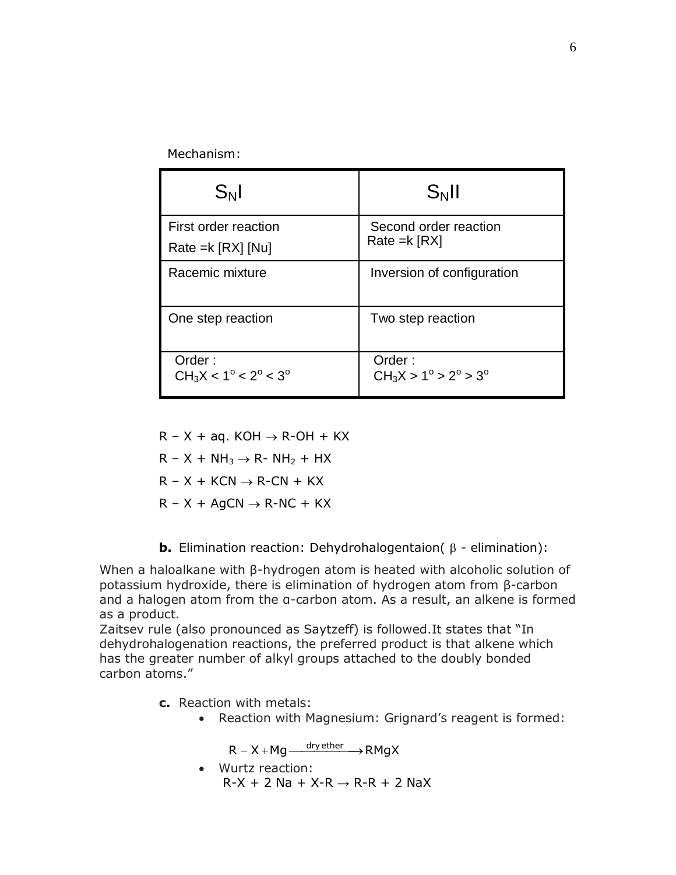Mechanism:

| $S_N$                                           | $S_N$ II                                        |
|-------------------------------------------------|-------------------------------------------------|
| First order reaction<br>Rate = $k$ [RX] [Nu]    | Second order reaction<br>Rate = $k$ [RX]        |
| Racemic mixture                                 | Inversion of configuration                      |
| One step reaction                               | Two step reaction                               |
| Order:<br>$CH_3X < 1^\circ < 2^\circ < 3^\circ$ | Order:<br>$CH_3X > 1^\circ > 2^\circ > 3^\circ$ |

 $R - X + aq$ . KOH  $\rightarrow$  R-OH + KX  $R - X + NH_3 \rightarrow R-NH_2 + HX$  $R - X + KCN \rightarrow R-CN + KX$  $R - X + AgCN \rightarrow R-NC + KX$ 

**b.** Elimination reaction: Dehydrohalogentaion( $\beta$  - elimination):

When a haloalkane with β-hydrogen atom is heated with alcoholic solution of potassium hydroxide, there is elimination of hydrogen atom from β-carbon and a halogen atom from the α-carbon atom. As a result, an alkene is formed as a product.

Zaitsev rule (also pronounced as Saytzeff) is followed.It states that "In dehydrohalogenation reactions, the preferred product is that alkene which has the greater number of alkyl groups attached to the doubly bonded carbon atoms."

- **c.** Reaction with metals:
	- Reaction with Magnesium: Grignard's reagent is formed:

 $R - X + Mg \xrightarrow{dry \text{ ether}} R$ MgX

 Wurtz reaction:  $R-X + 2$  Na + X-R  $\rightarrow$  R-R + 2 NaX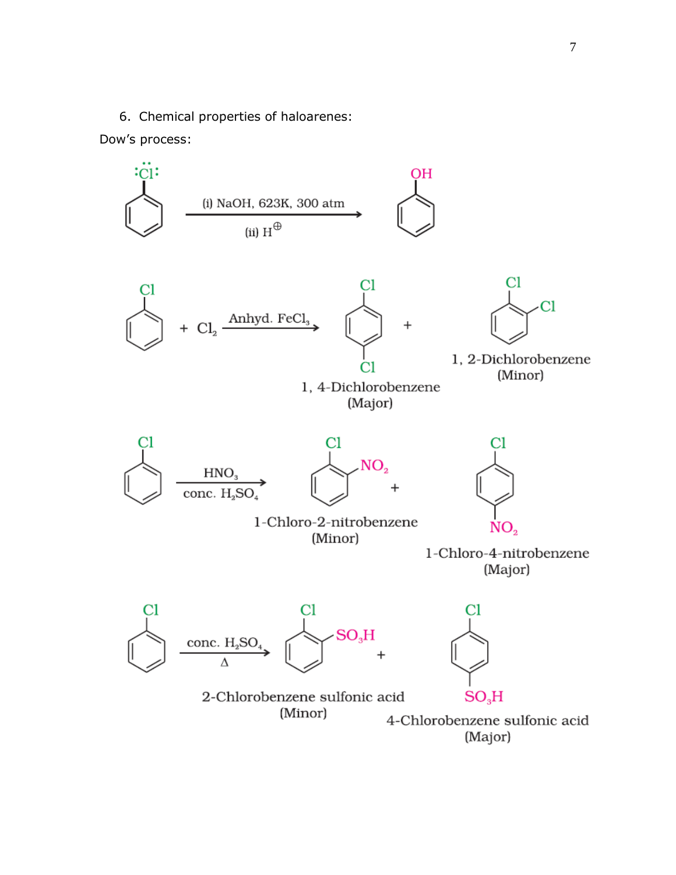6. Chemical properties of haloarenes:

## Dow's process:

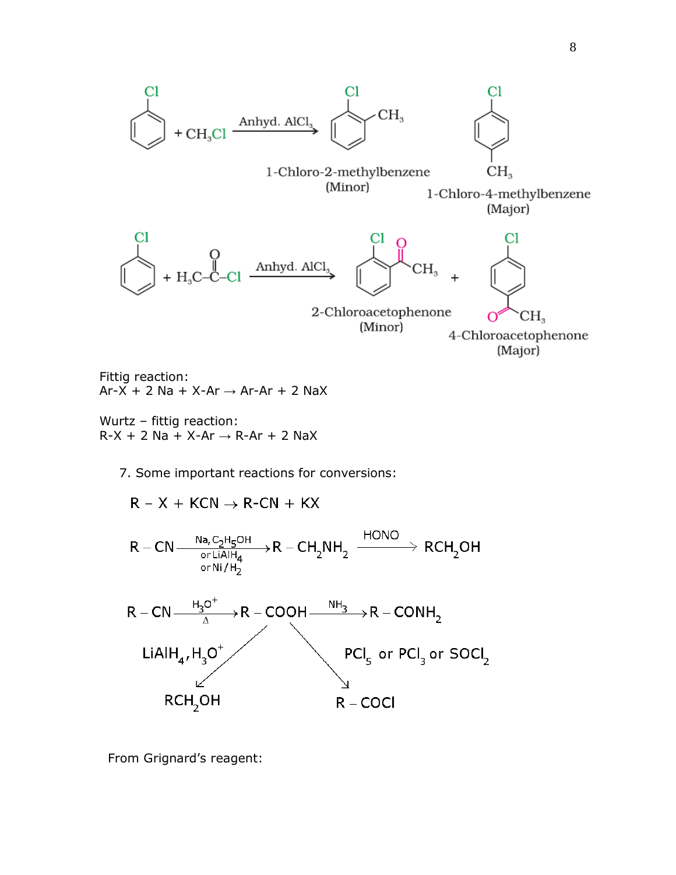

Fittig reaction:  $Ar-X + 2 Na + X-Ar \rightarrow Ar-Ar + 2 NaX$ 

Wurtz – fittig reaction:  $R-X + 2$  Na + X-Ar  $\rightarrow$  R-Ar + 2 NaX

7. Some important reactions for conversions:

 $R - X + KCN \rightarrow R-CN + KX$ 



From Grignard's reagent: